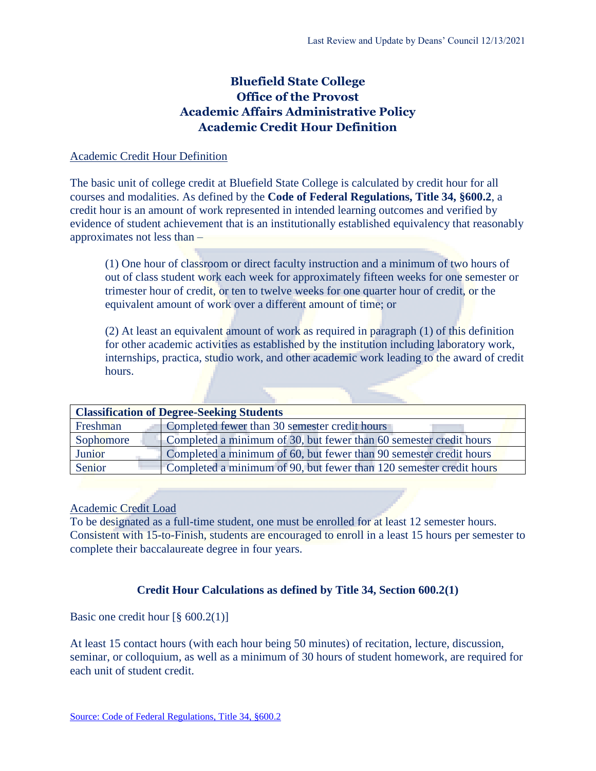# **Bluefield State College Office of the Provost Academic Affairs Administrative Policy Academic Credit Hour Definition**

### Academic Credit Hour Definition

The basic unit of college credit at Bluefield State College is calculated by credit hour for all courses and modalities. As defined by the **Code of Federal Regulations, Title 34, §600.2**, a credit hour is an amount of work represented in intended learning outcomes and verified by evidence of student achievement that is an institutionally established equivalency that reasonably approximates not less than –

(1) One hour of classroom or direct faculty instruction and a minimum of two hours of out of class student work each week for approximately fifteen weeks for one semester or trimester hour of credit, or ten to twelve weeks for one quarter hour of credit, or the equivalent amount of work over a different amount of time; or

(2) At least an equivalent amount of work as required in paragraph (1) of this definition for other academic activities as established by the institution including laboratory work, internships, practica, studio work, and other academic work leading to the award of credit hours.

| <b>Classification of Degree-Seeking Students</b> |                                                                     |  |
|--------------------------------------------------|---------------------------------------------------------------------|--|
| Freshman                                         | Completed fewer than 30 semester credit hours                       |  |
| Sophomore                                        | Completed a minimum of 30, but fewer than 60 semester credit hours  |  |
| Junior                                           | Completed a minimum of 60, but fewer than 90 semester credit hours  |  |
| Senior                                           | Completed a minimum of 90, but fewer than 120 semester credit hours |  |

#### Academic Credit Load

To be designated as a full-time student, one must be enrolled for at least 12 semester hours. Consistent with 15-to-Finish, students are encouraged to enroll in a least 15 hours per semester to complete their baccalaureate degree in four years.

# **Credit Hour Calculations as defined by Title 34, Section 600.2(1)**

Basic one credit hour  $\lceil \S 600.2(1) \rceil$ 

At least 15 contact hours (with each hour being 50 minutes) of recitation, lecture, discussion, seminar, or colloquium, as well as a minimum of 30 hours of student homework, are required for each unit of student credit.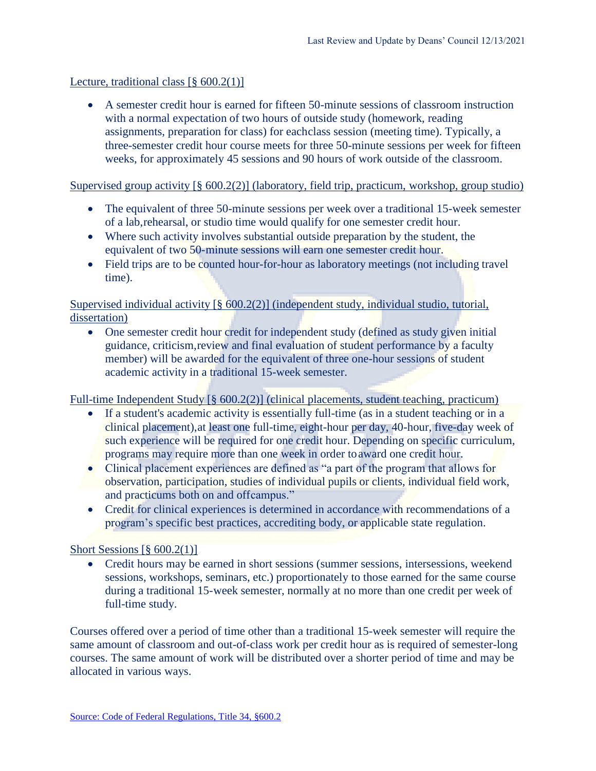# Lecture, traditional class  $\lceil \S 600.2(1) \rceil$

• A semester credit hour is earned for fifteen 50-minute sessions of classroom instruction with a normal expectation of two hours of outside study (homework, reading assignments, preparation for class) for eachclass session (meeting time). Typically, a three-semester credit hour course meets for three 50-minute sessions per week for fifteen weeks, for approximately 45 sessions and 90 hours of work outside of the classroom.

### Supervised group activity [§ 600.2(2)] (laboratory, field trip, practicum, workshop, group studio)

- The equivalent of three 50-minute sessions per week over a traditional 15-week semester of a lab,rehearsal, or studio time would qualify for one semester credit hour.
- Where such activity involves substantial outside preparation by the student, the equivalent of two 50-minute sessions will earn one semester credit hour.
- Field trips are to be counted hour-for-hour as laboratory meetings (not including travel time).

Supervised individual activity [§ 600.2(2)] (independent study, individual studio, tutorial, dissertation)

• One semester credit hour credit for independent study (defined as study given initial guidance, criticism,review and final evaluation of student performance by a faculty member) will be awarded for the equivalent of three one-hour sessions of student academic activity in a traditional 15-week semester.

Full-time Independent Study [§ 600.2(2)] (clinical placements, student teaching, practicum)

- If a student's academic activity is essentially full-time (as in a student teaching or in a clinical placement),at least one full-time, eight-hour per day, 40-hour, five-day week of such experience will be required for one credit hour. Depending on specific curriculum, programs may require more than one week in order to award one credit hour.
- Clinical placement experiences are defined as "a part of the program that allows for observation, participation, studies of individual pupils or clients, individual field work, and practicums both on and offcampus."
- Credit for clinical experiences is determined in accordance with recommendations of a program's specific best practices, accrediting body, or applicable state regulation.

# Short Sessions  $\lceil \frac{6}{9} \cdot 600.2(1) \rceil$

• Credit hours may be earned in short sessions (summer sessions, intersessions, weekend sessions, workshops, seminars, etc.) proportionately to those earned for the same course during a traditional 15-week semester, normally at no more than one credit per week of full-time study.

Courses offered over a period of time other than a traditional 15-week semester will require the same amount of classroom and out-of-class work per credit hour as is required of semester-long courses. The same amount of work will be distributed over a shorter period of time and may be allocated in various ways.